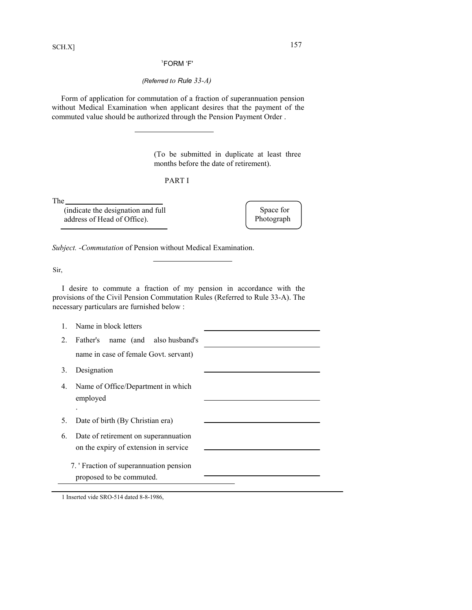1 FORM 'F'

*(Referred to Rule 33-A)*

Form of application for commutation of a fraction of superannuation pension without Medical Examination when applicant desires that the payment of the commuted value should be authorized through the Pension Payment Order .

> (To be submitted in duplicate at least three months before the date of retirement).

|--|

The

(indicate the designation and full address of Head of Office).

Space for Photograph

*Subject. -Commutation* of Pension without Medical Examination.

Sir,

I desire to commute a fraction of my pension in accordance with the provisions of the Civil Pension Commutation Rules (Referred to Rule 33-A). The necessary particulars are furnished below :

|    | Name in block letters                                                         |  |
|----|-------------------------------------------------------------------------------|--|
| 2. | Father's name (and also husband's                                             |  |
|    | name in case of female Govt. servant)                                         |  |
| 3. | Designation                                                                   |  |
| 4. | Name of Office/Department in which<br>employed                                |  |
| 5. | Date of birth (By Christian era)                                              |  |
| 6. | Date of retirement on superannuation<br>on the expiry of extension in service |  |
|    | 7. 'Fraction of superannuation pension<br>proposed to be commuted.            |  |

1 Inserted vide SRO-514 dated 8-8-1986,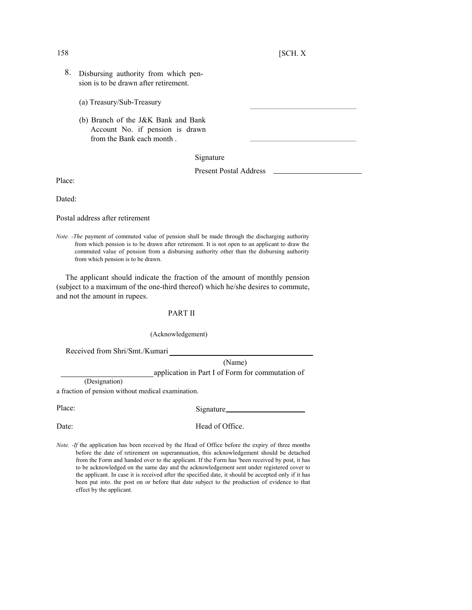- 8. Disbursing authority from which pension is to be drawn after retirement.
	- (a) Treasury/Sub-Treasury
	- (b) Branch of the J&K Bank and Bank Account No. if pension is drawn from the Bank each month .

## Signature

Present Postal Address

Place:

Dated:

Postal address after retirement

*Note. -The* payment of commuted value of pension shall be made through the discharging authority from which pension is to be drawn after retirement. It is not open to an applicant to draw the commuted value of pension from a disbursing authority other than the disbursing authority from which pension is to be drawn.

The applicant should indicate the fraction of the amount of monthly pension (subject to a maximum of the one-third thereof) which he/she desires to commute, and not the amount in rupees.

## PART II

## (Acknowledgement)

Received from Shri/Smt./Kumari

(Name) application in Part I of Form for commutation of

(Designation)

a fraction of pension without medical examination.

Place: Signature\_

Date: Head of Office.

*Note.* -If the application has been received by the Head of Office before the expiry of three months before the date of retirement on superannuation, this acknowledgement should be detached from the Form and handed over to the applicant. If the Form has 'been received by post, it has to be acknowledged on the same day and the acknowledgement sent under registered cover to the applicant. In case it is received after the specified date, it should be accepted only if it has been put into. the post on or before that date subject to the production of evidence to that effect by the applicant.